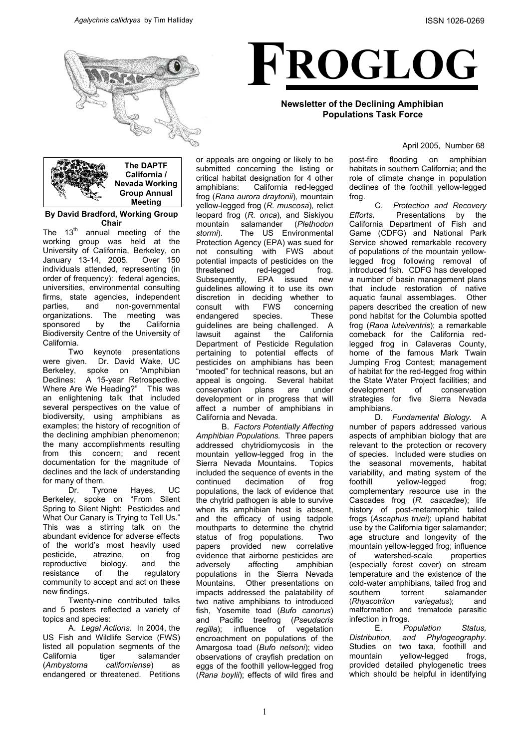



### **Newsletter of the Declining Amphibian Populations Task Force**

#### April 2005, Number 68



**By David Bradford, Working Group Chair** 

The  $13<sup>th</sup>$  annual meeting of the working group was held at the University of California, Berkeley, on January 13-14, 2005. Over 150 individuals attended, representing (in order of frequency): federal agencies, universities, environmental consulting firms, state agencies, independent parties, and non-governmental organizations. The meeting was sponsored by the California Biodiversity Centre of the University of California.

Two keynote presentations were given. Dr. David Wake, UC Berkeley, spoke on "Amphibian Declines: A 15-year Retrospective. Where Are We Heading?" This was an enlightening talk that included several perspectives on the value of biodiversity, using amphibians as examples; the history of recognition of the declining amphibian phenomenon; the many accomplishments resulting from this concern; and recent documentation for the magnitude of declines and the lack of understanding for many of them.

Dr. Tyrone Hayes, UC Berkeley, spoke on "From Silent Spring to Silent Night: Pesticides and What Our Canary is Trying to Tell Us." This was a stirring talk on the abundant evidence for adverse effects of the world's most heavily used<br>pesticide, atrazine, on frog pesticide, atrazine, on reproductive biology, and the resistance of the regulatory community to accept and act on these new findings.

Twenty-nine contributed talks and 5 posters reflected a variety of topics and species:

 A. *Legal Actions*. In 2004, the US Fish and Wildlife Service (FWS) listed all population segments of the California tiger salamander (*Ambystoma californiense*) as endangered or threatened. Petitions

or appeals are ongoing or likely to be submitted concerning the listing or critical habitat designation for 4 other amphibians: California red-legged frog (*Rana aurora draytonii*)*,* mountain yellow-legged frog (*R. muscosa*)*,* relict leopard frog (*R. onca*)*,* and Siskiyou mountain salamander (*Plethodon stormi*). The US Environmental Protection Agency (EPA) was sued for not consulting with FWS about potential impacts of pesticides on the threatened red-legged frog. Subsequently, EPA issued new guidelines allowing it to use its own discretion in deciding whether to consult with FWS concerning endangered species. These guidelines are being challenged. A lawsuit against the California Department of Pesticide Regulation pertaining to potential effects of pesticides on amphibians has been "mooted" for technical reasons, but an appeal is ongoing. Several habitat<br>conservation plans are under conservation plans are under development or in progress that will affect a number of amphibians in California and Nevada.

 B. *Factors Potentially Affecting Amphibian Populations.* Three papers addressed chytridiomycosis in the mountain yellow-legged frog in the Sierra Nevada Mountains. Topics included the sequence of events in the continued decimation of frog populations, the lack of evidence that the chytrid pathogen is able to survive when its amphibian host is absent, and the efficacy of using tadpole mouthparts to determine the chytrid status of frog populations. Two papers provided new correlative evidence that airborne pesticides are adversely affecting amphibian populations in the Sierra Nevada Mountains. Other presentations on impacts addressed the palatability of two native amphibians to introduced fish, Yosemite toad (*Bufo canorus*) and Pacific treefrog (*Pseudacris regilla*); influence of vegetation encroachment on populations of the Amargosa toad (*Bufo nelsoni*); video observations of crayfish predation on eggs of the foothill yellow-legged frog (*Rana boylii*); effects of wild fires and post-fire flooding on amphibian habitats in southern California; and the role of climate change in population declines of the foothill yellow-legged frog.

 C. *Protection and Recovery Efforts.* Presentations by the California Department of Fish and Game (CDFG) and National Park Service showed remarkable recovery of populations of the mountain yellowlegged frog following removal of introduced fish. CDFG has developed a number of basin management plans that include restoration of native aquatic faunal assemblages. Other papers described the creation of new pond habitat for the Columbia spotted frog (*Rana luteiventris*); a remarkable comeback for the California redlegged frog in Calaveras County, home of the famous Mark Twain Jumping Frog Contest; management of habitat for the red-legged frog within the State Water Project facilities; and development of conservation strategies for five Sierra Nevada amphibians.

 D. *Fundamental Biology.* A number of papers addressed various aspects of amphibian biology that are relevant to the protection or recovery of species. Included were studies on the seasonal movements, habitat variability, and mating system of the foothill vellow-legged frog; complementary resource use in the Cascades frog (*R. cascadae*); life history of post-metamorphic tailed frogs (*Ascaphus truei*); upland habitat use by the California tiger salamander; age structure and longevity of the mountain yellow-legged frog; influence of watershed-scale properties (especially forest cover) on stream temperature and the existence of the cold-water amphibians, tailed frog and southern torrent salamander (*Rhyacotriton variegatus*); and malformation and trematode parasitic infection in frogs.

 E. *Population Status, Distribution, and Phylogeography*. Studies on two taxa, foothill and mountain yellow-legged frogs, provided detailed phylogenetic trees which should be helpful in identifying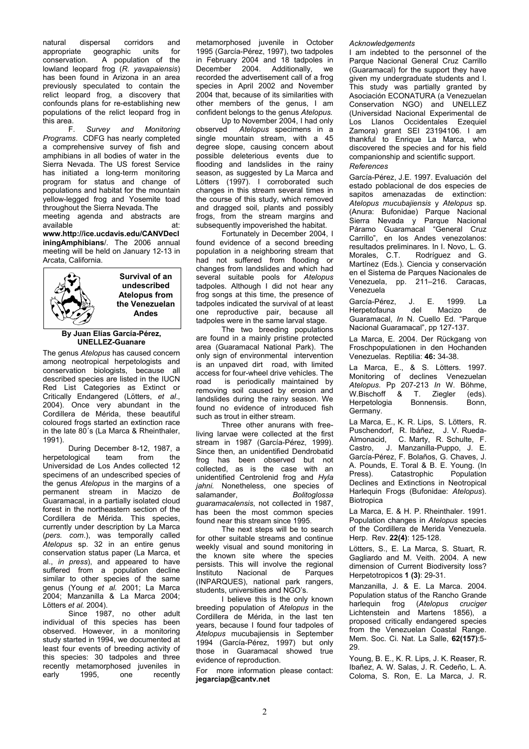natural dispersal corridors and appropriate geographic units for conservation. A population of the lowland leopard frog (*R. yavapaiensis*) has been found in Arizona in an area previously speculated to contain the relict leopard frog, a discovery that confounds plans for re-establishing new populations of the relict leopard frog in this area.

 F. *Survey and Monitoring Programs*. CDFG has nearly completed a comprehensive survey of fish and amphibians in all bodies of water in the Sierra Nevada. The US forest Service has initiated a long-term monitoring program for status and change of populations and habitat for the mountain yellow-legged frog and Yosemite toad throughout the Sierra Nevada.The

meeting agenda and abstracts are available at: **www.http://ice.ucdavis.edu/CANVDecl**

**iningAmphibians**/. The 2006 annual meeting will be held on January 12-13 in Arcata, California.



**Survival of an undescribed Atelopus from the Venezuelan Andes** 

# **By Juan Elías García-Pérez, UNELLEZ-Guanare**

The genus *Atelopus* has caused concern among neotropical herpetologists and conservation biologists, because all described species are listed in the IUCN Red List Categories as Extinct or Critically Endangered (Lötters, *et al*., 2004). Once very abundant in the Cordillera de Mérida, these beautiful coloured frogs started an extinction race in the late 80´s (La Marca & Rheinthaler, 1991).

During December 8-12, 1987, a herpetological team from the Universidad de Los Andes collected 12 specimens of an undescribed species of the genus *Atelopus* in the margins of a permanent stream in Macizo de Guaramacal, in a partially isolated cloud forest in the northeastern section of the Cordillera de Mérida. This species, currently under description by La Marca (*pers. com*.), was temporally called *Atelopus* sp. 32 in an entire genus conservation status paper (La Marca, et al., *in press*), and appeared to have suffered from a population decline similar to other species of the same genus (Young *et al.* 2001; La Marca 2004; Manzanilla & La Marca 2004; Lötters *et al.* 2004).

Since 1987, no other adult individual of this species has been observed. However, in a monitoring study started in 1994, we documented at least four events of breeding activity of this species: 30 tadpoles and three recently metamorphosed juveniles in early 1995, one recently

metamorphosed juvenile in October 1995 (García-Pérez, 1997), two tadpoles in February 2004 and 18 tadpoles in December 2004. Additionally, we recorded the advertisement call of a frog species in April 2002 and November 2004 that, because of its similarities with other members of the genus, I am confident belongs to the genus *Atelopus.*

Up to November 2004, I had only observed *Atelopus* specimens in a single mountain stream, with a 45 degree slope, causing concern about possible deleterious events due to flooding and landslides in the rainy season, as suggested by La Marca and Lötters (1997). I corroborated such changes in this stream several times in the course of this study, which removed and dragged soil, plants and possibly frogs, from the stream margins and subsequently impoverished the habitat.

Fortunately in December 2004, I found evidence of a second breeding population in a neighboring stream that had not suffered from flooding or changes from landslides and which had several suitable pools for *Atelopus* tadpoles. Although I did not hear any frog songs at this time, the presence of tadpoles indicated the survival of at least one reproductive pair, because all tadpoles were in the same larval stage.

The two breeding populations are found in a mainly pristine protected area (Guaramacal National Park). The only sign of environmental intervention is an unpaved dirt road, with limited access for four-wheel drive vehicles. The road is periodically maintained by removing soil caused by erosion and landslides during the rainy season. We found no evidence of introduced fish such as trout in either stream.

Three other anurans with freeliving larvae were collected at the first stream in 1987 (García-Pérez, 1999). Since then, an unidentified Dendrobatid frog has been observed but not collected, as is the case with an unidentified Centrolenid frog and *Hyla jahni.* Nonetheless, one species of salamander, *Bolitoglossa guaramacalensis*, not collected in 1987, has been the most common species found near this stream since 1995.

The next steps will be to search for other suitable streams and continue weekly visual and sound monitoring in the known site where the species persists. This will involve the regional Instituto Nacional de Parques (INPARQUES), national park rangers, students, universities and NGO's.

 I believe this is the only known breeding population of *Atelopus* in the Cordillera de Mérida, in the last ten years, because I found four tadpoles of *Atelopus* mucubajiensis in September 1994 (García-Pérez, 1997) but only those in Guaramacal showed true

**jegarciap@cantv.net**

### *Acknowledgements*

I am indebted to the personnel of the Parque Nacional General Cruz Carrillo (Guaramacal) for the support they have given my undergraduate students and I. This study was partially granted by Asociación ECONATURA (a Venezuelan Conservation NGO) and UNELLEZ (Universidad Nacional Experimental de Los Llanos Occidentales Ezequiel Zamora) grant SEI 23194106. I am thankful to Enrique La Marca, who discovered the species and for his field companionship and scientific support. *References* 

García-Pérez, J.E. 1997. Evaluación del estado poblacional de dos especies de sapitos amenazadas de extinction: *Atelopus mucubajiensis* y *Atelopus* sp. (Anura: Bufonidae) Parque Nacional Sierra Nevada y Parque Nacional Páramo Guaramacal "General Cruz Carrillo", en los Andes venezolanos: resultados preliminares. In I. Novo, L. G.<br>Morales, C.T. Rodríguez and G. Rodríguez and G. Martínez (Eds.). Ciencia y conservación en el Sistema de Parques Nacionales de Venezuela, pp. 211–216. Caracas, Venezuela

García-Pérez, J. E. 1999. La<br>Herpetofauna del Macizo de Herpetofauna Guaramacal, *In* N. Cuello Ed. "Parque<br>Nacional Guaramacal", pp 127-137.

La Marca, E. 2004. Der Rückgang von Froschpopulationen in den Hochanden Venezuelas. Reptilia: **46:** 34-38.

La Marca, E., & S. Lötters. 1997. Monitoring of declines Venezuelan *Atelopus*. Pp 207-213 *In* W. Böhme, W.Bischoff & T. Ziegler (eds). Herpetologia Bonnensis. Bonn, Germany.

La Marca, E., K. R. Lips, S. Lötters, R. Puschendorf, R. Ibáñez, J. V. Rueda-Almonacid, C. Marty, R. Schulte, F. Castro, J. Manzanilla-Puppo, J. E. García-Pérez, F. Bolaños, G. Chaves, J. A. Pounds, E. Toral & B. E. Young. (In Press). Catastrophic Population Declines and Extinctions in Neotropical Harlequin Frogs (Bufonidae: *Atelopus*). **Biotropica** 

La Marca, E. & H. P. Rheinthaler. 1991. Population changes in *Atelopus* species of the Cordillera de Merida Venezuela. Herp. Rev. **22(4)**: 125-128.

Lötters, S., E. La Marca, S. Stuart, R. Gagliardo and M. Veith. 2004. A new dimension of Current Biodiversity loss? Herpetotropicos **1 (3)**: 29-31.

Manzanilla, J. & E. La Marca. 2004. Population status of the Rancho Grande harlequin frog (*Atelopus cruciger* Lichtenstein and Martens 1856), a proposed critically endangered species from the Venezuelan Coastal Range. Mem. Soc. Ci. Nat. La Salle, **62(157)**:5- 29.

Young, B. E., K. R. Lips, J. K. Reaser, R. Ibañez, A. W. Salas, J. R. Cedeño, L. A. For more information please contact: IDANEZ, A. W. Salas, J. R. Cedeno, L. A.<br>
Coloma, S. Ron, E. La Marca, J. R.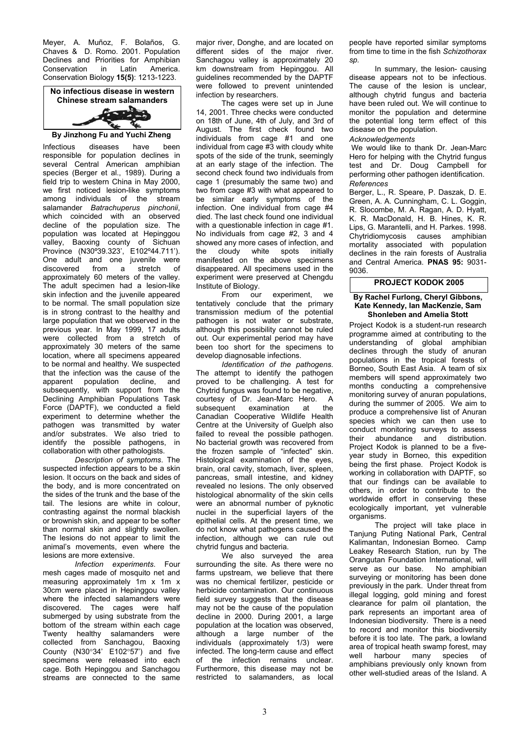Meyer, A. Muñoz, F. Bolaños, G. Chaves & D. Romo. 2001. Population Declines and Priorities for Amphibian Conservation in Latin America. Conservation Biology **15(5)**: 1213-1223.



**By Jinzhong Fu and Yuchi Zheng** 

Infectious diseases have been responsible for population declines in several Central American amphibian species (Berger et al., 1989). During a field trip to western China in May 2000, we first noticed lesion-like symptoms among individuals of the stream salamander *Batrachuperus pinchonii*, which coincided with an observed decline of the population size. The population was located at Hepinggou valley, Baoxing county of Sichuan Province (N30º39.323', E102º44.711'). One adult and one juvenile were discovered from a stretch of approximately 60 meters of the valley. The adult specimen had a lesion-like skin infection and the juvenile appeared to be normal. The small population size is in strong contrast to the healthy and large population that we observed in the previous year. In May 1999, 17 adults were collected from a stretch of approximately 30 meters of the same location, where all specimens appeared to be normal and healthy. We suspected that the infection was the cause of the apparent population decline, and subsequently, with support from the Declining Amphibian Populations Task Force (DAPTF), we conducted a field experiment to determine whether the pathogen was transmitted by water and/or substrates. We also tried to identify the possible pathogens, in collaboration with other pathologists.

*Description of symptoms*. The suspected infection appears to be a skin lesion. It occurs on the back and sides of the body, and is more concentrated on the sides of the trunk and the base of the tail. The lesions are white in colour, contrasting against the normal blackish or brownish skin, and appear to be softer than normal skin and slightly swollen. The lesions do not appear to limit the animal's movements, even where the lesions are more extensive.

*Infection experiments*. Four mesh cages made of mosquito net and measuring approximately 1m x 1m x 30cm were placed in Hepinggou valley where the infected salamanders were discovered. The cages were half submerged by using substrate from the bottom of the stream within each cage Twenty healthy salamanders were collected from Sanchagou, Baoxing County (N30°34' E102°57') and five specimens were released into each cage. Both Hepinggou and Sanchagou streams are connected to the same

major river, Donghe, and are located on different sides of the major river. Sanchagou valley is approximately 20 km downstream from Hepinggou. All guidelines recommended by the DAPTF were followed to prevent unintended infection by researchers.

The cages were set up in June 14, 2001. Three checks were conducted on 18th of June, 4th of July, and 3rd of August. The first check found two individuals from cage #1 and one individual from cage #3 with cloudy white spots of the side of the trunk, seemingly at an early stage of the infection. The second check found two individuals from cage 1 (presumably the same two) and two from cage #3 with what appeared to be similar early symptoms of the infection. One individual from cage #4 died. The last check found one individual with a questionable infection in cage #1. No individuals from cage #2, 3 and 4 showed any more cases of infection, and the cloudy white spots initially manifested on the above specimens disappeared. All specimens used in the experiment were preserved at Chengdu Institute of Biology.

From our experiment, we tentatively conclude that the primary transmission medium of the potential pathogen is not water or substrate, although this possibility cannot be ruled out. Our experimental period may have been too short for the specimens to develop diagnosable infections.

*Identification of the pathogens*. The attempt to identify the pathogen proved to be challenging. A test for Chytrid fungus was found to be negative, courtesy of Dr. Jean-Marc Hero. A subsequent examination at the Canadian Cooperative Wildlife Health Centre at the University of Guelph also failed to reveal the possible pathogen. No bacterial growth was recovered from the frozen sample of "infected" skin. Histological examination of the eyes, brain, oral cavity, stomach, liver, spleen, pancreas, small intestine, and kidney revealed no lesions. The only observed histological abnormality of the skin cells were an abnormal number of pyknotic nuclei in the superficial layers of the epithelial cells. At the present time, we do not know what pathogens caused the infection, although we can rule out chytrid fungus and bacteria.

We also surveyed the area surrounding the site. As there were no farms upstream, we believe that there was no chemical fertilizer, pesticide or herbicide contamination. Our continuous field survey suggests that the disease may not be the cause of the population decline in 2000. During 2001, a large population at the location was observed, although a large number of the individuals (approximately 1/3) were infected. The long-term cause and effect of the infection remains unclear. Furthermore, this disease may not be restricted to salamanders, as local people have reported similar symptoms from time to time in the fish *Schizothorax sp.*

In summary, the lesion- causing disease appears not to be infectious. The cause of the lesion is unclear, although chytrid fungus and bacteria have been ruled out. We will continue to monitor the population and determine the potential long term effect of this disease on the population.

*Acknowledgements*

We would like to thank Dr. Jean-Marc Hero for helping with the Chytrid fungus test and Dr. Doug Campbell for performing other pathogen identification. *References*

Berger, L., R. Speare, P. Daszak, D. E. Green, A. A. Cunningham, C. L. Goggin, R. Slocombe, M. A. Ragan, A. D. Hyatt, K. R. MacDonald, H. B. Hines, K. R. Lips, G. Marantelli, and H. Parkes. 1998. Chytridiomycosis causes amphibian mortality associated with population declines in the rain forests of Australia and Central America. **PNAS 95:** 9031- 9036.

## **PROJECT KODOK 2005**

#### **By Rachel Furlong, Cheryl Gibbons, Kate Kennedy, Ian MacKenzie, Sam Shonleben and Amelia Stott**

Project Kodok is a student-run research programme aimed at contributing to the understanding of global amphibian declines through the study of anuran populations in the tropical forests of Borneo, South East Asia. A team of six members will spend approximately two months conducting a comprehensive monitoring survey of anuran populations, during the summer of 2005. We aim to produce a comprehensive list of Anuran species which we can then use to conduct monitoring surveys to assess their abundance and distribution. Project Kodok is planned to be a fiveyear study in Borneo, this expedition being the first phase. Project Kodok is working in collaboration with DAPTF, so that our findings can be available to others, in order to contribute to the worldwide effort in conserving these ecologically important, yet vulnerable organisms.

The project will take place in Tanjung Puting National Park, Central Kalimantan, Indonesian Borneo. Camp Leakey Research Station, run by The Orangutan Foundation International, will serve as our base. No amphibian surveying or monitoring has been done previously in the park. Under threat from illegal logging, gold mining and forest clearance for palm oil plantation, the park represents an important area of Indonesian biodiversity. There is a need to record and monitor this biodiversity before it is too late. The park, a lowland area of tropical heath swamp forest, may well harbour many species of amphibians previously only known from other well-studied areas of the Island. A